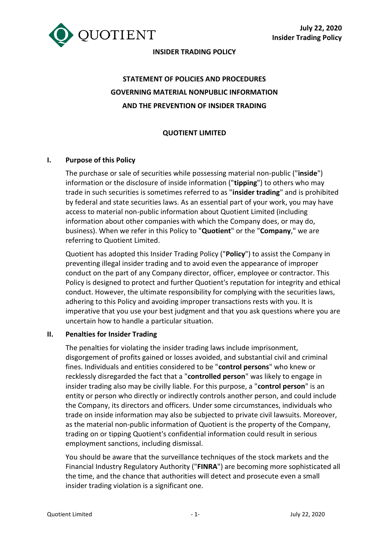

# **INSIDER TRADING POLICY**

# **STATEMENT OF POLICIES AND PROCEDURES GOVERNING MATERIAL NONPUBLIC INFORMATION AND THE PREVENTION OF INSIDER TRADING**

# **QUOTIENT LIMITED**

#### **I. Purpose of this Policy**

The purchase or sale of securities while possessing material non-public ("**inside**") information or the disclosure of inside information ("**tipping**") to others who may trade in such securities is sometimes referred to as "**insider trading**" and is prohibited by federal and state securities laws. As an essential part of your work, you may have access to material non-public information about Quotient Limited (including information about other companies with which the Company does, or may do, business). When we refer in this Policy to "**Quotient**" or the "**Company**," we are referring to Quotient Limited.

Quotient has adopted this Insider Trading Policy ("**Policy**") to assist the Company in preventing illegal insider trading and to avoid even the appearance of improper conduct on the part of any Company director, officer, employee or contractor. This Policy is designed to protect and further Quotient's reputation for integrity and ethical conduct. However, the ultimate responsibility for complying with the securities laws, adhering to this Policy and avoiding improper transactions rests with you. It is imperative that you use your best judgment and that you ask questions where you are uncertain how to handle a particular situation.

#### **II. Penalties for Insider Trading**

The penalties for violating the insider trading laws include imprisonment, disgorgement of profits gained or losses avoided, and substantial civil and criminal fines. Individuals and entities considered to be "**control persons**" who knew or recklessly disregarded the fact that a "**controlled person**" was likely to engage in insider trading also may be civilly liable. For this purpose, a "**control person**" is an entity or person who directly or indirectly controls another person, and could include the Company, its directors and officers. Under some circumstances, individuals who trade on inside information may also be subjected to private civil lawsuits. Moreover, as the material non-public information of Quotient is the property of the Company, trading on or tipping Quotient's confidential information could result in serious employment sanctions, including dismissal.

You should be aware that the surveillance techniques of the stock markets and the Financial Industry Regulatory Authority ("**FINRA**") are becoming more sophisticated all the time, and the chance that authorities will detect and prosecute even a small insider trading violation is a significant one.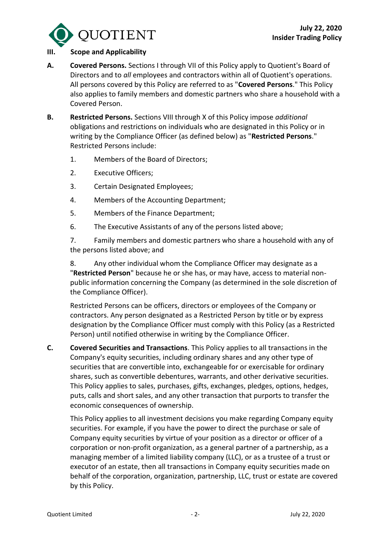

#### **III. Scope and Applicability**

- **A. Covered Persons.** Sections I through VII of this Policy apply to Quotient's Board of Directors and to *all* employees and contractors within all of Quotient's operations. All persons covered by this Policy are referred to as "**Covered Persons**." This Policy also applies to family members and domestic partners who share a household with a Covered Person.
- **B. Restricted Persons.** Sections VIII through X of this Policy impose *additional* obligations and restrictions on individuals who are designated in this Policy or in writing by the Compliance Officer (as defined below) as "**Restricted Persons**." Restricted Persons include:
	- 1. Members of the Board of Directors;
	- 2. Executive Officers;
	- 3. Certain Designated Employees;
	- 4. Members of the Accounting Department;
	- 5. Members of the Finance Department;
	- 6. The Executive Assistants of any of the persons listed above;

7. Family members and domestic partners who share a household with any of the persons listed above; and

8. Any other individual whom the Compliance Officer may designate as a "**Restricted Person**" because he or she has, or may have, access to material nonpublic information concerning the Company (as determined in the sole discretion of the Compliance Officer).

Restricted Persons can be officers, directors or employees of the Company or contractors. Any person designated as a Restricted Person by title or by express designation by the Compliance Officer must comply with this Policy (as a Restricted Person) until notified otherwise in writing by the Compliance Officer.

**C. Covered Securities and Transactions**. This Policy applies to all transactions in the Company's equity securities, including ordinary shares and any other type of securities that are convertible into, exchangeable for or exercisable for ordinary shares, such as convertible debentures, warrants, and other derivative securities. This Policy applies to sales, purchases, gifts, exchanges, pledges, options, hedges, puts, calls and short sales, and any other transaction that purports to transfer the economic consequences of ownership.

This Policy applies to all investment decisions you make regarding Company equity securities. For example, if you have the power to direct the purchase or sale of Company equity securities by virtue of your position as a director or officer of a corporation or non-profit organization, as a general partner of a partnership, as a managing member of a limited liability company (LLC), or as a trustee of a trust or executor of an estate, then all transactions in Company equity securities made on behalf of the corporation, organization, partnership, LLC, trust or estate are covered by this Policy.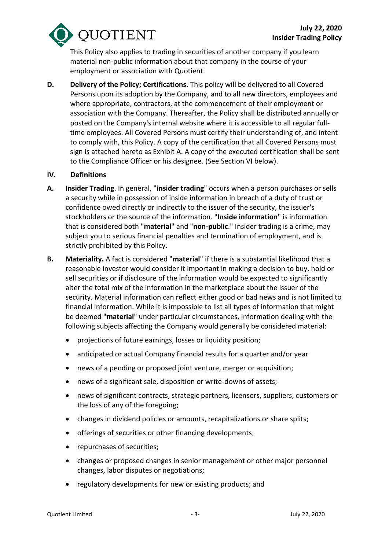**DUOTIENT** 

This Policy also applies to trading in securities of another company if you learn material non-public information about that company in the course of your employment or association with Quotient.

**D. Delivery of the Policy; Certifications**. This policy will be delivered to all Covered Persons upon its adoption by the Company, and to all new directors, employees and where appropriate, contractors, at the commencement of their employment or association with the Company. Thereafter, the Policy shall be distributed annually or posted on the Company's internal website where it is accessible to all regular fulltime employees. All Covered Persons must certify their understanding of, and intent to comply with, this Policy. A copy of the certification that all Covered Persons must sign is attached hereto as Exhibit A. A copy of the executed certification shall be sent to the Compliance Officer or his designee. (See Section VI below).

#### **IV. Definitions**

- **A. Insider Trading**. In general, "**insider trading**" occurs when a person purchases or sells a security while in possession of inside information in breach of a duty of trust or confidence owed directly or indirectly to the issuer of the security, the issuer's stockholders or the source of the information. "**Inside information**" is information that is considered both "**material**" and "**non-public**." Insider trading is a crime, may subject you to serious financial penalties and termination of employment, and is strictly prohibited by this Policy.
- **B. Materiality.** A fact is considered "**material**" if there is a substantial likelihood that a reasonable investor would consider it important in making a decision to buy, hold or sell securities or if disclosure of the information would be expected to significantly alter the total mix of the information in the marketplace about the issuer of the security. Material information can reflect either good or bad news and is not limited to financial information. While it is impossible to list all types of information that might be deemed "**material**" under particular circumstances, information dealing with the following subjects affecting the Company would generally be considered material:
	- projections of future earnings, losses or liquidity position;
	- anticipated or actual Company financial results for a quarter and/or year
	- news of a pending or proposed joint venture, merger or acquisition;
	- news of a significant sale, disposition or write-downs of assets;
	- news of significant contracts, strategic partners, licensors, suppliers, customers or the loss of any of the foregoing;
	- changes in dividend policies or amounts, recapitalizations or share splits;
	- offerings of securities or other financing developments;
	- repurchases of securities;
	- changes or proposed changes in senior management or other major personnel changes, labor disputes or negotiations;
	- regulatory developments for new or existing products; and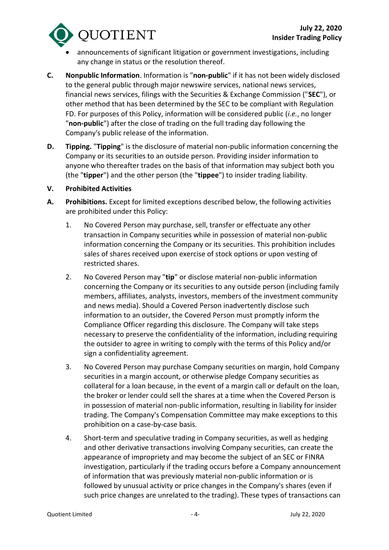

- announcements of significant litigation or government investigations, including any change in status or the resolution thereof.
- **C. Nonpublic Information**. Information is "**non-public**" if it has not been widely disclosed to the general public through major newswire services, national news services, financial news services, filings with the Securities & Exchange Commission ("**SEC**"), or other method that has been determined by the SEC to be compliant with Regulation FD. For purposes of this Policy, information will be considered public (*i.e.*, no longer "**non-public**") after the close of trading on the full trading day following the Company's public release of the information.
- **D. Tipping.** "**Tipping**" is the disclosure of material non-public information concerning the Company or its securities to an outside person. Providing insider information to anyone who thereafter trades on the basis of that information may subject both you (the "**tipper**") and the other person (the "**tippee**") to insider trading liability.
- **V. Prohibited Activities**
- **A. Prohibitions.** Except for limited exceptions described below, the following activities are prohibited under this Policy:
	- 1. No Covered Person may purchase, sell, transfer or effectuate any other transaction in Company securities while in possession of material non-public information concerning the Company or its securities. This prohibition includes sales of shares received upon exercise of stock options or upon vesting of restricted shares.
	- 2. No Covered Person may "**tip**" or disclose material non-public information concerning the Company or its securities to any outside person (including family members, affiliates, analysts, investors, members of the investment community and news media). Should a Covered Person inadvertently disclose such information to an outsider, the Covered Person must promptly inform the Compliance Officer regarding this disclosure. The Company will take steps necessary to preserve the confidentiality of the information, including requiring the outsider to agree in writing to comply with the terms of this Policy and/or sign a confidentiality agreement.
	- 3. No Covered Person may purchase Company securities on margin, hold Company securities in a margin account, or otherwise pledge Company securities as collateral for a loan because, in the event of a margin call or default on the loan, the broker or lender could sell the shares at a time when the Covered Person is in possession of material non-public information, resulting in liability for insider trading. The Company's Compensation Committee may make exceptions to this prohibition on a case-by-case basis.
	- 4. Short-term and speculative trading in Company securities, as well as hedging and other derivative transactions involving Company securities, can create the appearance of impropriety and may become the subject of an SEC or FINRA investigation, particularly if the trading occurs before a Company announcement of information that was previously material non-public information or is followed by unusual activity or price changes in the Company's shares (even if such price changes are unrelated to the trading). These types of transactions can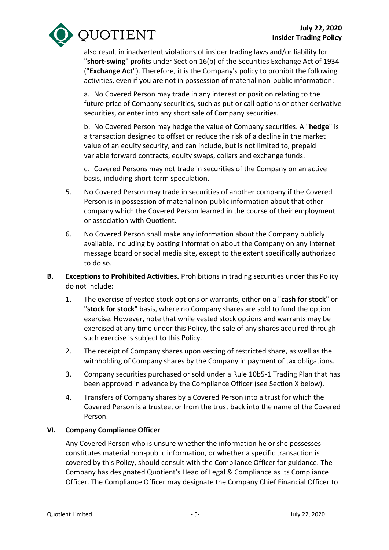

also result in inadvertent violations of insider trading laws and/or liability for "**short-swing**" profits under Section 16(b) of the Securities Exchange Act of 1934 ("**Exchange Act**"). Therefore, it is the Company's policy to prohibit the following activities, even if you are not in possession of material non-public information:

a. No Covered Person may trade in any interest or position relating to the future price of Company securities, such as put or call options or other derivative securities, or enter into any short sale of Company securities.

b. No Covered Person may hedge the value of Company securities. A "**hedge**" is a transaction designed to offset or reduce the risk of a decline in the market value of an equity security, and can include, but is not limited to, prepaid variable forward contracts, equity swaps, collars and exchange funds.

c. Covered Persons may not trade in securities of the Company on an active basis, including short-term speculation.

- 5. No Covered Person may trade in securities of another company if the Covered Person is in possession of material non-public information about that other company which the Covered Person learned in the course of their employment or association with Quotient.
- 6. No Covered Person shall make any information about the Company publicly available, including by posting information about the Company on any Internet message board or social media site, except to the extent specifically authorized to do so.
- **B. Exceptions to Prohibited Activities.** Prohibitions in trading securities under this Policy do not include:
	- 1. The exercise of vested stock options or warrants, either on a "**cash for stock**" or "**stock for stock**" basis, where no Company shares are sold to fund the option exercise. However, note that while vested stock options and warrants may be exercised at any time under this Policy, the sale of any shares acquired through such exercise is subject to this Policy.
	- 2. The receipt of Company shares upon vesting of restricted share, as well as the withholding of Company shares by the Company in payment of tax obligations.
	- 3. Company securities purchased or sold under a Rule 10b5-1 Trading Plan that has been approved in advance by the Compliance Officer (see Section X below).
	- 4. Transfers of Company shares by a Covered Person into a trust for which the Covered Person is a trustee, or from the trust back into the name of the Covered Person.

#### **VI. Company Compliance Officer**

Any Covered Person who is unsure whether the information he or she possesses constitutes material non-public information, or whether a specific transaction is covered by this Policy, should consult with the Compliance Officer for guidance. The Company has designated Quotient's Head of Legal & Compliance as its Compliance Officer. The Compliance Officer may designate the Company Chief Financial Officer to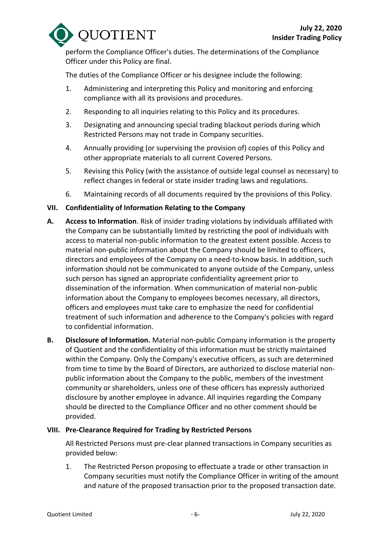

perform the Compliance Officer's duties. The determinations of the Compliance Officer under this Policy are final.

The duties of the Compliance Officer or his designee include the following:

- 1. Administering and interpreting this Policy and monitoring and enforcing compliance with all its provisions and procedures.
- 2. Responding to all inquiries relating to this Policy and its procedures.
- 3. Designating and announcing special trading blackout periods during which Restricted Persons may not trade in Company securities.
- 4. Annually providing (or supervising the provision of) copies of this Policy and other appropriate materials to all current Covered Persons.
- 5. Revising this Policy (with the assistance of outside legal counsel as necessary) to reflect changes in federal or state insider trading laws and regulations.
- 6. Maintaining records of all documents required by the provisions of this Policy.

# **VII. Confidentiality of Information Relating to the Company**

- **A. Access to Information**. Risk of insider trading violations by individuals affiliated with the Company can be substantially limited by restricting the pool of individuals with access to material non-public information to the greatest extent possible. Access to material non-public information about the Company should be limited to officers, directors and employees of the Company on a need-to-know basis. In addition, such information should not be communicated to anyone outside of the Company, unless such person has signed an appropriate confidentiality agreement prior to dissemination of the information. When communication of material non-public information about the Company to employees becomes necessary, all directors, officers and employees must take care to emphasize the need for confidential treatment of such information and adherence to the Company's policies with regard to confidential information.
- **B. Disclosure of Information.** Material non-public Company information is the property of Quotient and the confidentiality of this information must be strictly maintained within the Company. Only the Company's executive officers, as such are determined from time to time by the Board of Directors, are authorized to disclose material nonpublic information about the Company to the public, members of the investment community or shareholders, unless one of these officers has expressly authorized disclosure by another employee in advance. All inquiries regarding the Company should be directed to the Compliance Officer and no other comment should be provided.

### **VIII. Pre-Clearance Required for Trading by Restricted Persons**

All Restricted Persons must pre-clear planned transactions in Company securities as provided below:

1. The Restricted Person proposing to effectuate a trade or other transaction in Company securities must notify the Compliance Officer in writing of the amount and nature of the proposed transaction prior to the proposed transaction date.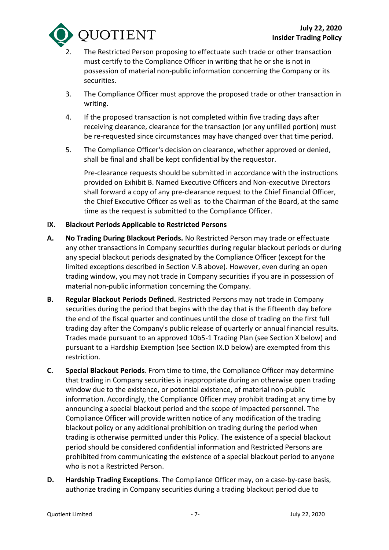

- The Restricted Person proposing to effectuate such trade or other transaction must certify to the Compliance Officer in writing that he or she is not in possession of material non-public information concerning the Company or its securities.
- 3. The Compliance Officer must approve the proposed trade or other transaction in writing.
- 4. If the proposed transaction is not completed within five trading days after receiving clearance, clearance for the transaction (or any unfilled portion) must be re-requested since circumstances may have changed over that time period.
- 5. The Compliance Officer's decision on clearance, whether approved or denied, shall be final and shall be kept confidential by the requestor.

Pre-clearance requests should be submitted in accordance with the instructions provided on Exhibit B. Named Executive Officers and Non-executive Directors shall forward a copy of any pre-clearance request to the Chief Financial Officer, the Chief Executive Officer as well as to the Chairman of the Board, at the same time as the request is submitted to the Compliance Officer.

#### **IX. Blackout Periods Applicable to Restricted Persons**

- **A. No Trading During Blackout Periods.** No Restricted Person may trade or effectuate any other transactions in Company securities during regular blackout periods or during any special blackout periods designated by the Compliance Officer (except for the limited exceptions described in Section V.B above). However, even during an open trading window, you may not trade in Company securities if you are in possession of material non-public information concerning the Company.
- **B. Regular Blackout Periods Defined.** Restricted Persons may not trade in Company securities during the period that begins with the day that is the fifteenth day before the end of the fiscal quarter and continues until the close of trading on the first full trading day after the Company's public release of quarterly or annual financial results. Trades made pursuant to an approved 10b5-1 Trading Plan (see Section X below) and pursuant to a Hardship Exemption (see Section IX.D below) are exempted from this restriction.
- **C. Special Blackout Periods**. From time to time, the Compliance Officer may determine that trading in Company securities is inappropriate during an otherwise open trading window due to the existence, or potential existence, of material non-public information. Accordingly, the Compliance Officer may prohibit trading at any time by announcing a special blackout period and the scope of impacted personnel. The Compliance Officer will provide written notice of any modification of the trading blackout policy or any additional prohibition on trading during the period when trading is otherwise permitted under this Policy. The existence of a special blackout period should be considered confidential information and Restricted Persons are prohibited from communicating the existence of a special blackout period to anyone who is not a Restricted Person.
- **D. Hardship Trading Exceptions**. The Compliance Officer may, on a case-by-case basis, authorize trading in Company securities during a trading blackout period due to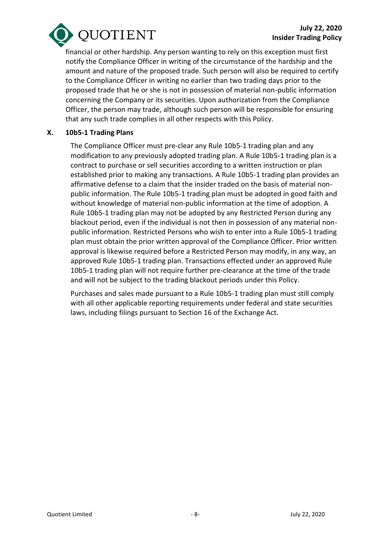

financial or other hardship. Any person wanting to rely on this exception must first notify the Compliance Officer in writing of the circumstance of the hardship and the amount and nature of the proposed trade. Such person will also be required to certify to the Compliance Officer in writing no earlier than two trading days prior to the proposed trade that he or she is not in possession of material non-public information concerning the Company or its securities. Upon authorization from the Compliance Officer, the person may trade, although such person will be responsible for ensuring that any such trade complies in all other respects with this Policy.

#### **X. 10b5-1 Trading Plans**

The Compliance Officer must pre-clear any Rule 10b5-1 trading plan and any modification to any previously adopted trading plan. A Rule 10b5-1 trading plan is a contract to purchase or sell securities according to a written instruction or plan established prior to making any transactions. A Rule 10b5-1 trading plan provides an affirmative defense to a claim that the insider traded on the basis of material nonpublic information. The Rule 10b5-1 trading plan must be adopted in good faith and without knowledge of material non-public information at the time of adoption. A Rule 10b5-1 trading plan may not be adopted by any Restricted Person during any blackout period, even if the individual is not then in possession of any material nonpublic information. Restricted Persons who wish to enter into a Rule 10b5-1 trading plan must obtain the prior written approval of the Compliance Officer. Prior written approval is likewise required before a Restricted Person may modify, in any way, an approved Rule 10b5-1 trading plan. Transactions effected under an approved Rule 10b5-1 trading plan will not require further pre-clearance at the time of the trade and will not be subject to the trading blackout periods under this Policy.

Purchases and sales made pursuant to a Rule 10b5-1 trading plan must still comply with all other applicable reporting requirements under federal and state securities laws, including filings pursuant to Section 16 of the Exchange Act.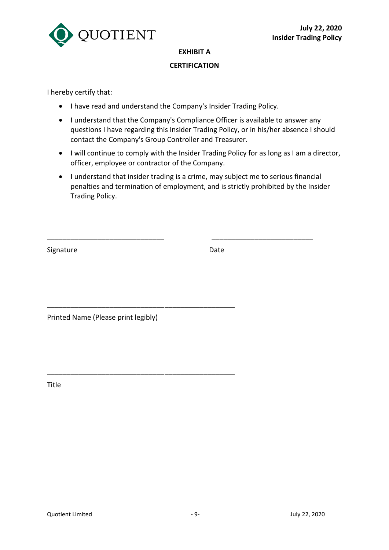

### **EXHIBIT A**

### **CERTIFICATION**

I hereby certify that:

- I have read and understand the Company's Insider Trading Policy.
- I understand that the Company's Compliance Officer is available to answer any questions I have regarding this Insider Trading Policy, or in his/her absence I should contact the Company's Group Controller and Treasurer.
- I will continue to comply with the Insider Trading Policy for as long as I am a director, officer, employee or contractor of the Company.
- I understand that insider trading is a crime, may subject me to serious financial penalties and termination of employment, and is strictly prohibited by the Insider Trading Policy.

\_\_\_\_\_\_\_\_\_\_\_\_\_\_\_\_\_\_\_\_\_\_\_\_\_\_\_\_\_\_ \_\_\_\_\_\_\_\_\_\_\_\_\_\_\_\_\_\_\_\_\_\_\_\_\_\_

Signature Date

Printed Name (Please print legibly)

\_\_\_\_\_\_\_\_\_\_\_\_\_\_\_\_\_\_\_\_\_\_\_\_\_\_\_\_\_\_\_\_\_\_\_\_\_\_\_\_\_\_\_\_\_\_\_\_

\_\_\_\_\_\_\_\_\_\_\_\_\_\_\_\_\_\_\_\_\_\_\_\_\_\_\_\_\_\_\_\_\_\_\_\_\_\_\_\_\_\_\_\_\_\_\_\_

Title